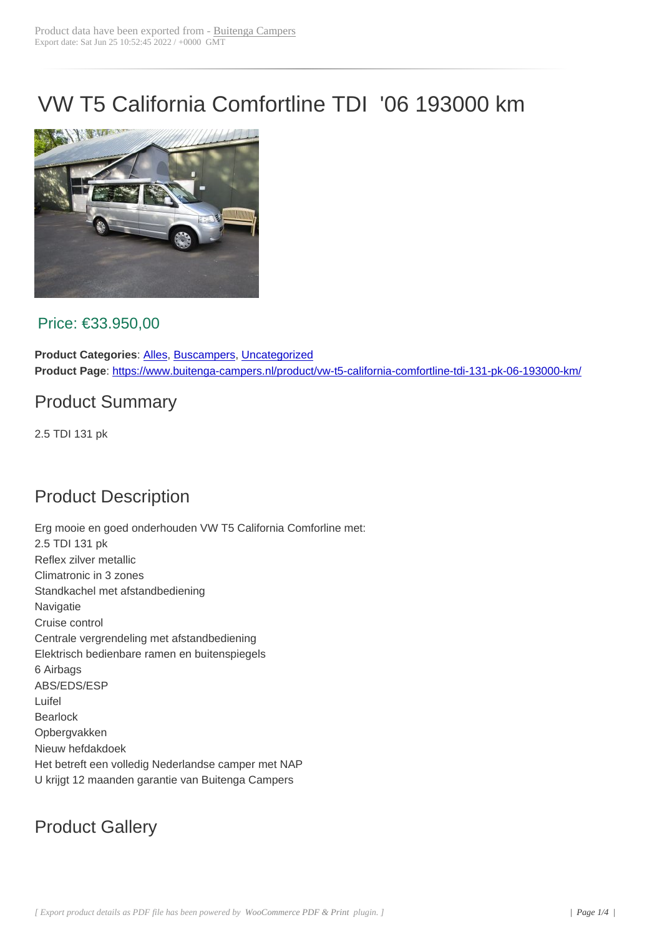# VW T5 California Comfortline TDI '06 193000 km



#### Price: €33.950,00

**Product Categories**: Alles, Buscampers, Uncategorized **Product Page**: https://www.buitenga-campers.nl/product/vw-t5-california-comfortline-tdi-131-pk-06-193000-km/

### Product Sum[mar](https://www.buitenga-campers.nl/product-categorie/alles/)[y](https://www.buitenga-campers.nl/product-categorie/buscampers/)

2.5 TDI 131 pk

### Product Description

Erg mooie en goed onderhouden VW T5 California Comforline met: 2.5 TDI 131 pk Reflex zilver metallic Climatronic in 3 zones Standkachel met afstandbediening **Navigatie** Cruise control Centrale vergrendeling met afstandbediening Elektrisch bedienbare ramen en buitenspiegels 6 Airbags ABS/EDS/ESP Luifel Bearlock Opbergvakken Nieuw hefdakdoek Het betreft een volledig Nederlandse camper met NAP U krijgt 12 maanden garantie van Buitenga Campers

## Product Gallery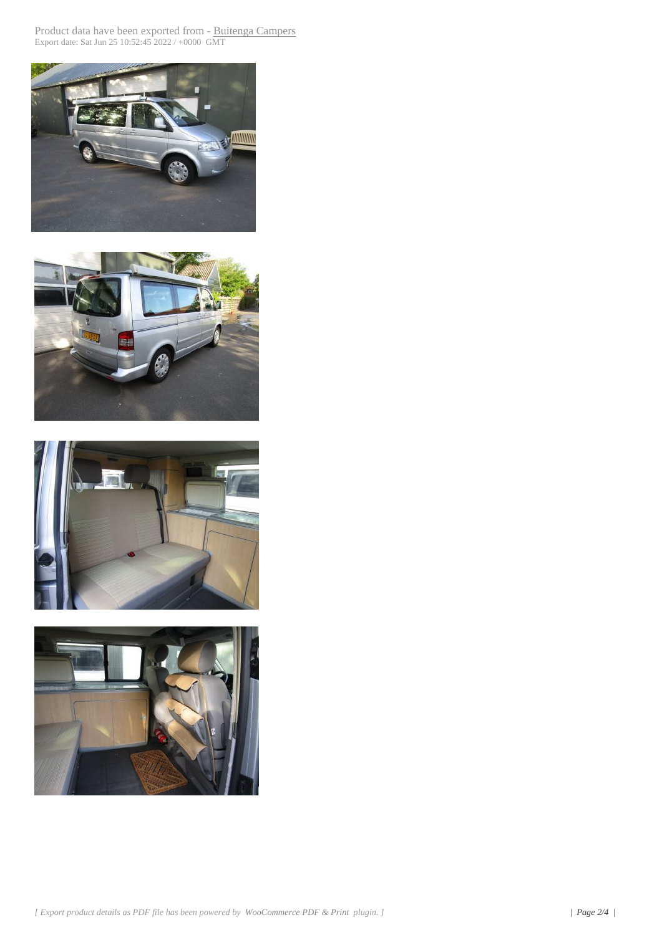





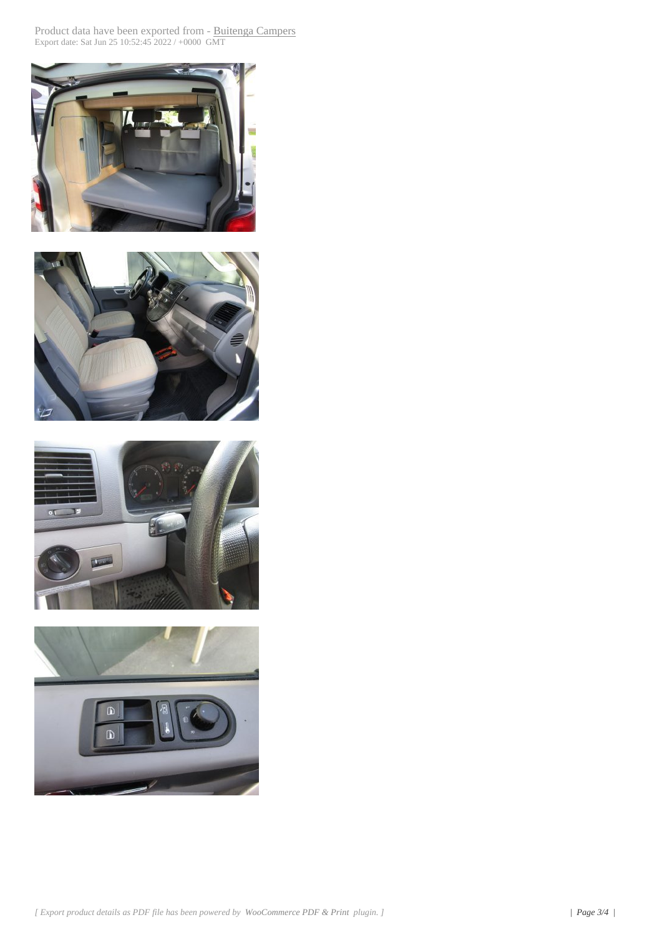